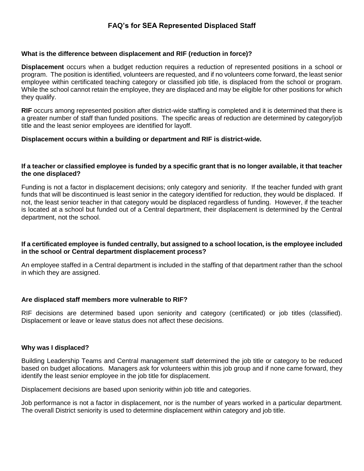# **FAQ's for SEA Represented Displaced Staff**

## **What is the difference between displacement and RIF (reduction in force)?**

**Displacement** occurs when a budget reduction requires a reduction of represented positions in a school or program. The position is identified, volunteers are requested, and if no volunteers come forward, the least senior employee within certificated teaching category or classified job title, is displaced from the school or program. While the school cannot retain the employee, they are displaced and may be eligible for other positions for which they qualify.

**RIF** occurs among represented position after district-wide staffing is completed and it is determined that there is a greater number of staff than funded positions. The specific areas of reduction are determined by category/job title and the least senior employees are identified for layoff.

## **Displacement occurs within a building or department and RIF is district-wide.**

#### **If a teacher or classified employee is funded by a specific grant that is no longer available, it that teacher the one displaced?**

Funding is not a factor in displacement decisions; only category and seniority. If the teacher funded with grant funds that will be discontinued is least senior in the category identified for reduction, they would be displaced. If not, the least senior teacher in that category would be displaced regardless of funding. However, if the teacher is located at a school but funded out of a Central department, their displacement is determined by the Central department, not the school.

## **If a certificated employee is funded centrally, but assigned to a school location, is the employee included in the school or Central department displacement process?**

An employee staffed in a Central department is included in the staffing of that department rather than the school in which they are assigned.

#### **Are displaced staff members more vulnerable to RIF?**

RIF decisions are determined based upon seniority and category (certificated) or job titles (classified). Displacement or leave or leave status does not affect these decisions.

#### **Why was I displaced?**

Building Leadership Teams and Central management staff determined the job title or category to be reduced based on budget allocations. Managers ask for volunteers within this job group and if none came forward, they identify the least senior employee in the job title for displacement.

Displacement decisions are based upon seniority within job title and categories.

Job performance is not a factor in displacement, nor is the number of years worked in a particular department. The overall District seniority is used to determine displacement within category and job title.